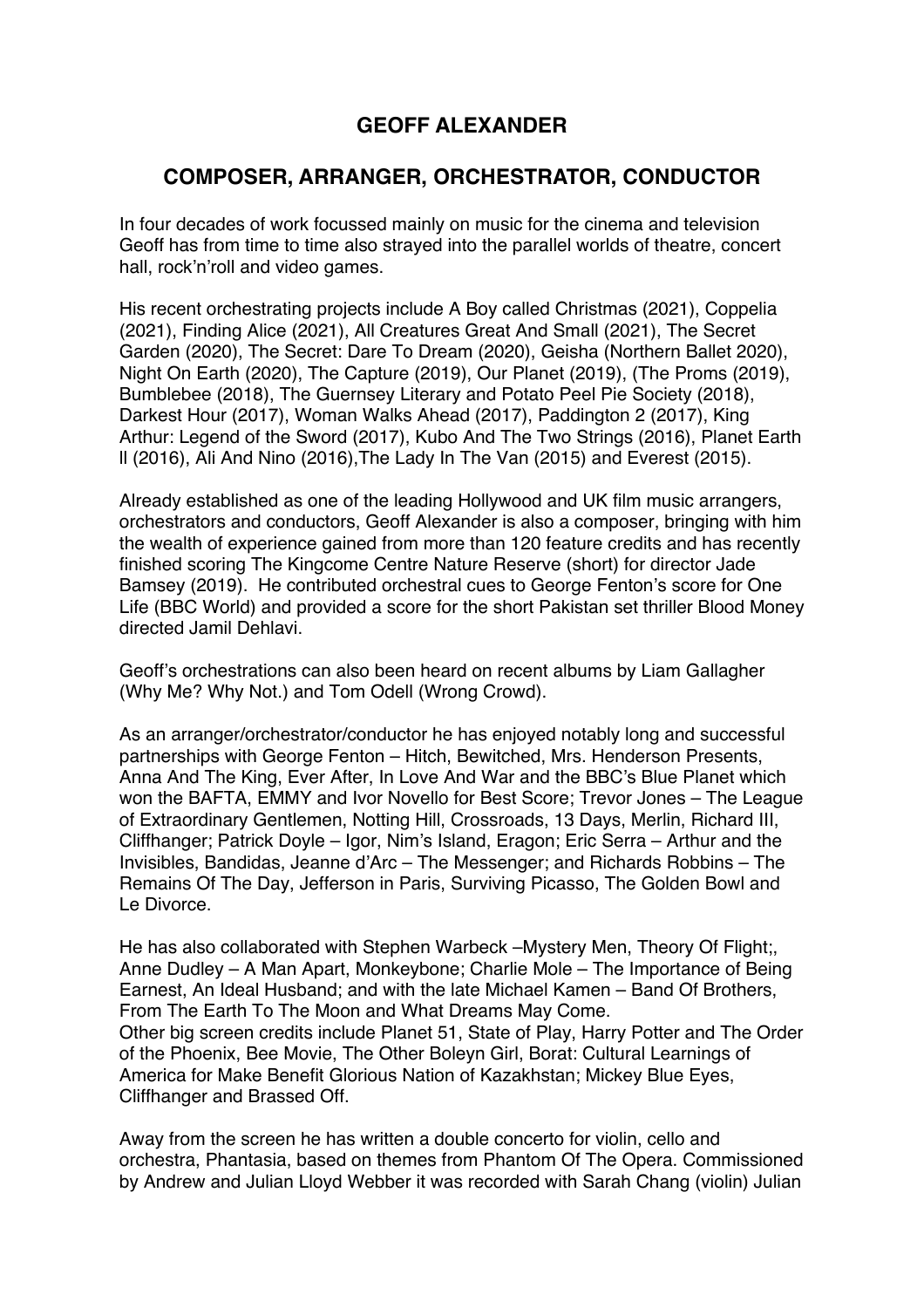# **GEOFF ALEXANDER**

## **COMPOSER, ARRANGER, ORCHESTRATOR, CONDUCTOR**

In four decades of work focussed mainly on music for the cinema and television Geoff has from time to time also strayed into the parallel worlds of theatre, concert hall, rock'n'roll and video games.

His recent orchestrating projects include A Boy called Christmas (2021), Coppelia (2021), Finding Alice (2021), All Creatures Great And Small (2021), The Secret Garden (2020), The Secret: Dare To Dream (2020), Geisha (Northern Ballet 2020), Night On Earth (2020), The Capture (2019), Our Planet (2019), (The Proms (2019), Bumblebee (2018), The Guernsey Literary and Potato Peel Pie Society (2018), Darkest Hour (2017), Woman Walks Ahead (2017), Paddington 2 (2017), King Arthur: Legend of the Sword (2017), Kubo And The Two Strings (2016), Planet Earth ll (2016), Ali And Nino (2016),The Lady In The Van (2015) and Everest (2015).

Already established as one of the leading Hollywood and UK film music arrangers, orchestrators and conductors, Geoff Alexander is also a composer, bringing with him the wealth of experience gained from more than 120 feature credits and has recently finished scoring The Kingcome Centre Nature Reserve (short) for director Jade Bamsey (2019). He contributed orchestral cues to George Fenton's score for One Life (BBC World) and provided a score for the short Pakistan set thriller Blood Money directed Jamil Dehlavi.

Geoff's orchestrations can also been heard on recent albums by Liam Gallagher (Why Me? Why Not.) and Tom Odell (Wrong Crowd).

As an arranger/orchestrator/conductor he has enjoyed notably long and successful partnerships with George Fenton – Hitch, Bewitched, Mrs. Henderson Presents, Anna And The King, Ever After, In Love And War and the BBC's Blue Planet which won the BAFTA, EMMY and Ivor Novello for Best Score; Trevor Jones – The League of Extraordinary Gentlemen, Notting Hill, Crossroads, 13 Days, Merlin, Richard III, Cliffhanger; Patrick Doyle – Igor, Nim's Island, Eragon; Eric Serra – Arthur and the Invisibles, Bandidas, Jeanne d'Arc – The Messenger; and Richards Robbins – The Remains Of The Day, Jefferson in Paris, Surviving Picasso, The Golden Bowl and Le Divorce.

He has also collaborated with Stephen Warbeck –Mystery Men, Theory Of Flight;, Anne Dudley – A Man Apart, Monkeybone; Charlie Mole – The Importance of Being Earnest, An Ideal Husband; and with the late Michael Kamen – Band Of Brothers, From The Earth To The Moon and What Dreams May Come. Other big screen credits include Planet 51, State of Play, Harry Potter and The Order of the Phoenix, Bee Movie, The Other Boleyn Girl, Borat: Cultural Learnings of America for Make Benefit Glorious Nation of Kazakhstan; Mickey Blue Eyes, Cliffhanger and Brassed Off.

Away from the screen he has written a double concerto for violin, cello and orchestra, Phantasia, based on themes from Phantom Of The Opera. Commissioned by Andrew and Julian Lloyd Webber it was recorded with Sarah Chang (violin) Julian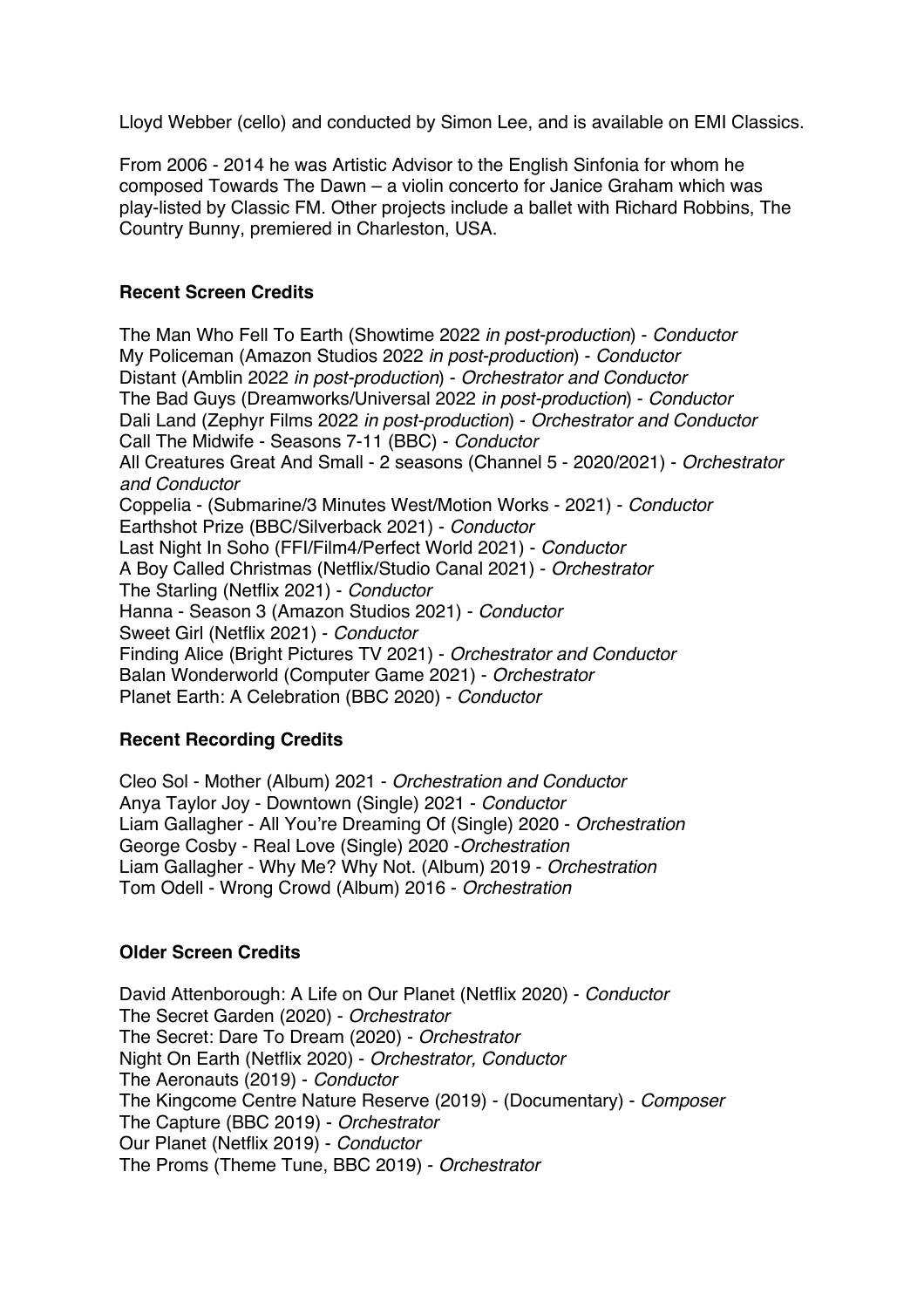Lloyd Webber (cello) and conducted by Simon Lee, and is available on EMI Classics.

From 2006 - 2014 he was Artistic Advisor to the English Sinfonia for whom he composed Towards The Dawn – a violin concerto for Janice Graham which was play-listed by Classic FM. Other projects include a ballet with Richard Robbins, The Country Bunny, premiered in Charleston, USA.

### **Recent Screen Credits**

The Man Who Fell To Earth (Showtime 2022 *in post-production*) - *Conductor* My Policeman (Amazon Studios 2022 *in post-production*) - *Conductor* Distant (Amblin 2022 *in post-production*) - *Orchestrator and Conductor* The Bad Guys (Dreamworks/Universal 2022 *in post-production*) - *Conductor* Dali Land (Zephyr Films 2022 *in post-production*) - *Orchestrator and Conductor* Call The Midwife - Seasons 7-11 (BBC) - *Conductor* All Creatures Great And Small - 2 seasons (Channel 5 - 2020/2021) - *Orchestrator and Conductor* Coppelia - (Submarine/3 Minutes West/Motion Works - 2021) - *Conductor* Earthshot Prize (BBC/Silverback 2021) - *Conductor* Last Night In Soho (FFI/Film4/Perfect World 2021) - *Conductor* A Boy Called Christmas (Netflix/Studio Canal 2021) - *Orchestrator* The Starling (Netflix 2021) - *Conductor* Hanna - Season 3 (Amazon Studios 2021) - *Conductor* Sweet Girl (Netflix 2021) - *Conductor* Finding Alice (Bright Pictures TV 2021) - *Orchestrator and Conductor* Balan Wonderworld (Computer Game 2021) - *Orchestrator* Planet Earth: A Celebration (BBC 2020) - *Conductor*

### **Recent Recording Credits**

Cleo Sol - Mother (Album) 2021 - *Orchestration and Conductor* Anya Taylor Joy - Downtown (Single) 2021 - *Conductor* Liam Gallagher - All You're Dreaming Of (Single) 2020 - *Orchestration* George Cosby - Real Love (Single) 2020 -*Orchestration* Liam Gallagher - Why Me? Why Not. (Album) 2019 - *Orchestration* Tom Odell - Wrong Crowd (Album) 2016 - *Orchestration*

### **Older Screen Credits**

David Attenborough: A Life on Our Planet (Netflix 2020) - *Conductor* The Secret Garden (2020) - *Orchestrator* The Secret: Dare To Dream (2020) - *Orchestrator* Night On Earth (Netflix 2020) - *Orchestrator, Conductor*  The Aeronauts (2019) - *Conductor* The Kingcome Centre Nature Reserve (2019) - (Documentary) - *Composer* The Capture (BBC 2019) - *Orchestrator* Our Planet (Netflix 2019) - *Conductor* The Proms (Theme Tune, BBC 2019) - *Orchestrator*